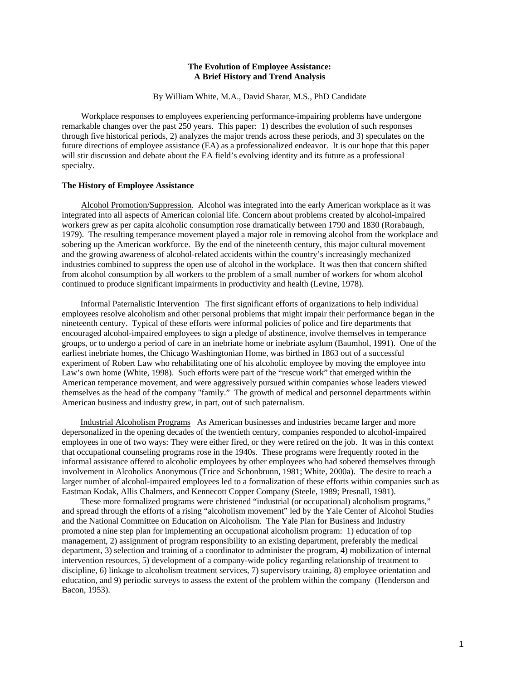# **The Evolution of Employee Assistance: A Brief History and Trend Analysis**

By William White, M.A., David Sharar, M.S., PhD Candidate

 Workplace responses to employees experiencing performance-impairing problems have undergone remarkable changes over the past 250 years. This paper: 1) describes the evolution of such responses through five historical periods, 2) analyzes the major trends across these periods, and 3) speculates on the future directions of employee assistance (EA) as a professionalized endeavor. It is our hope that this paper will stir discussion and debate about the EA field's evolving identity and its future as a professional specialty.

#### **The History of Employee Assistance**

 Alcohol Promotion/Suppression. Alcohol was integrated into the early American workplace as it was integrated into all aspects of American colonial life. Concern about problems created by alcohol-impaired workers grew as per capita alcoholic consumption rose dramatically between 1790 and 1830 (Rorabaugh, 1979). The resulting temperance movement played a major role in removing alcohol from the workplace and sobering up the American workforce. By the end of the nineteenth century, this major cultural movement and the growing awareness of alcohol-related accidents within the country's increasingly mechanized industries combined to suppress the open use of alcohol in the workplace. It was then that concern shifted from alcohol consumption by all workers to the problem of a small number of workers for whom alcohol continued to produce significant impairments in productivity and health (Levine, 1978).

Informal Paternalistic Intervention The first significant efforts of organizations to help individual employees resolve alcoholism and other personal problems that might impair their performance began in the nineteenth century. Typical of these efforts were informal policies of police and fire departments that encouraged alcohol-impaired employees to sign a pledge of abstinence, involve themselves in temperance groups, or to undergo a period of care in an inebriate home or inebriate asylum (Baumhol, 1991). One of the earliest inebriate homes, the Chicago Washingtonian Home, was birthed in 1863 out of a successful experiment of Robert Law who rehabilitating one of his alcoholic employee by moving the employee into Law's own home (White, 1998). Such efforts were part of the "rescue work" that emerged within the American temperance movement, and were aggressively pursued within companies whose leaders viewed themselves as the head of the company "family." The growth of medical and personnel departments within American business and industry grew, in part, out of such paternalism.

Industrial Alcoholism Programs As American businesses and industries became larger and more depersonalized in the opening decades of the twentieth century, companies responded to alcohol-impaired employees in one of two ways: They were either fired, or they were retired on the job. It was in this context that occupational counseling programs rose in the 1940s. These programs were frequently rooted in the informal assistance offered to alcoholic employees by other employees who had sobered themselves through involvement in Alcoholics Anonymous (Trice and Schonbrunn, 1981; White, 2000a). The desire to reach a larger number of alcohol-impaired employees led to a formalization of these efforts within companies such as Eastman Kodak, Allis Chalmers, and Kennecott Copper Company (Steele, 1989; Presnall, 1981).

These more formalized programs were christened "industrial (or occupational) alcoholism programs," and spread through the efforts of a rising "alcoholism movement" led by the Yale Center of Alcohol Studies and the National Committee on Education on Alcoholism. The Yale Plan for Business and Industry promoted a nine step plan for implementing an occupational alcoholism program: 1) education of top management, 2) assignment of program responsibility to an existing department, preferably the medical department, 3) selection and training of a coordinator to administer the program, 4) mobilization of internal intervention resources, 5) development of a company-wide policy regarding relationship of treatment to discipline, 6) linkage to alcoholism treatment services, 7) supervisory training, 8) employee orientation and education, and 9) periodic surveys to assess the extent of the problem within the company (Henderson and Bacon, 1953).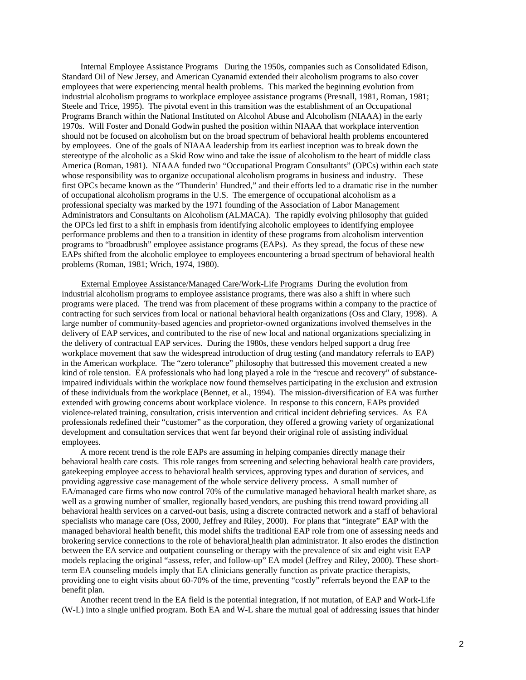Internal Employee Assistance Programs During the 1950s, companies such as Consolidated Edison, Standard Oil of New Jersey, and American Cyanamid extended their alcoholism programs to also cover employees that were experiencing mental health problems. This marked the beginning evolution from industrial alcoholism programs to workplace employee assistance programs (Presnall, 1981, Roman, 1981; Steele and Trice, 1995). The pivotal event in this transition was the establishment of an Occupational Programs Branch within the National Instituted on Alcohol Abuse and Alcoholism (NIAAA) in the early 1970s. Will Foster and Donald Godwin pushed the position within NIAAA that workplace intervention should not be focused on alcoholism but on the broad spectrum of behavioral health problems encountered by employees. One of the goals of NIAAA leadership from its earliest inception was to break down the stereotype of the alcoholic as a Skid Row wino and take the issue of alcoholism to the heart of middle class America (Roman, 1981). NIAAA funded two "Occupational Program Consultants" (OPCs) within each state whose responsibility was to organize occupational alcoholism programs in business and industry. These first OPCs became known as the "Thunderin' Hundred," and their efforts led to a dramatic rise in the number of occupational alcoholism programs in the U.S. The emergence of occupational alcoholism as a professional specialty was marked by the 1971 founding of the Association of Labor Management Administrators and Consultants on Alcoholism (ALMACA). The rapidly evolving philosophy that guided the OPCs led first to a shift in emphasis from identifying alcoholic employees to identifying employee performance problems and then to a transition in identity of these programs from alcoholism intervention programs to "broadbrush" employee assistance programs (EAPs). As they spread, the focus of these new EAPs shifted from the alcoholic employee to employees encountering a broad spectrum of behavioral health problems (Roman, 1981; Wrich, 1974, 1980).

 External Employee Assistance/Managed Care/Work-Life Programs During the evolution from industrial alcoholism programs to employee assistance programs, there was also a shift in where such programs were placed. The trend was from placement of these programs within a company to the practice of contracting for such services from local or national behavioral health organizations (Oss and Clary, 1998). A large number of community-based agencies and proprietor-owned organizations involved themselves in the delivery of EAP services, and contributed to the rise of new local and national organizations specializing in the delivery of contractual EAP services. During the 1980s, these vendors helped support a drug free workplace movement that saw the widespread introduction of drug testing (and mandatory referrals to EAP) in the American workplace. The "zero tolerance" philosophy that buttressed this movement created a new kind of role tension. EA professionals who had long played a role in the "rescue and recovery" of substanceimpaired individuals within the workplace now found themselves participating in the exclusion and extrusion of these individuals from the workplace (Bennet, et al., 1994). The mission-diversification of EA was further extended with growing concerns about workplace violence. In response to this concern, EAPs provided violence-related training, consultation, crisis intervention and critical incident debriefing services. As EA professionals redefined their "customer" as the corporation, they offered a growing variety of organizational development and consultation services that went far beyond their original role of assisting individual employees. A more recent trend is the role EAPs are assuming in helping companies directly manage their

behavioral health care costs. This role ranges from screening and selecting behavioral health care providers, gatekeeping employee access to behavioral health services, approving types and duration of services, and providing aggressive case management of the whole service delivery process. A small number of EA/managed care firms who now control 70% of the cumulative managed behavioral health market share, as well as a growing number of smaller, regionally based vendors, are pushing this trend toward providing all behavioral health services on a carved-out basis, using a discrete contracted network and a staff of behavioral specialists who manage care (Oss, 2000, Jeffrey and Riley, 2000). For plans that "integrate" EAP with the managed behavioral health benefit, this model shifts the traditional EAP role from one of assessing needs and brokering service connections to the role of behavioral health plan administrator. It also erodes the distinction between the EA service and outpatient counseling or therapy with the prevalence of six and eight visit EAP models replacing the original "assess, refer, and follow-up" EA model (Jeffrey and Riley, 2000). These shortterm EA counseling models imply that EA clinicians generally function as private practice therapists, providing one to eight visits about 60-70% of the time, preventing "costly" referrals beyond the EAP to the benefit plan.

Another recent trend in the EA field is the potential integration, if not mutation, of EAP and Work-Life (W-L) into a single unified program. Both EA and W-L share the mutual goal of addressing issues that hinder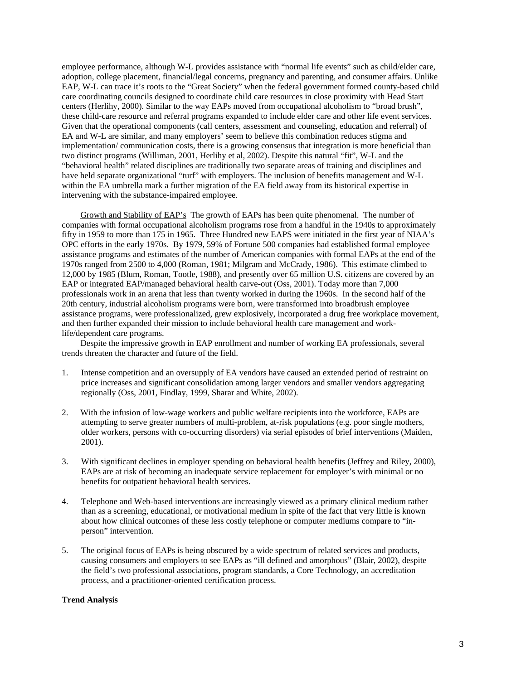employee performance, although W-L provides assistance with "normal life events" such as child/elder care, adoption, college placement, financial/legal concerns, pregnancy and parenting, and consumer affairs. Unlike EAP, W-L can trace it's roots to the "Great Society" when the federal government formed county-based child care coordinating councils designed to coordinate child care resources in close proximity with Head Start centers (Herlihy, 2000). Similar to the way EAPs moved from occupational alcoholism to "broad brush", these child-care resource and referral programs expanded to include elder care and other life event services. Given that the operational components (call centers, assessment and counseling, education and referral) of EA and W-L are similar, and many employers' seem to believe this combination reduces stigma and implementation/ communication costs, there is a growing consensus that integration is more beneficial than two distinct programs (Williman, 2001, Herlihy et al, 2002). Despite this natural "fit", W-L and the "behavioral health" related disciplines are traditionally two separate areas of training and disciplines and have held separate organizational "turf" with employers. The inclusion of benefits management and W-L within the EA umbrella mark a further migration of the EA field away from its historical expertise in intervening with the substance-impaired employee.

Growth and Stability of EAP's The growth of EAPs has been quite phenomenal. The number of companies with formal occupational alcoholism programs rose from a handful in the 1940s to approximately fifty in 1959 to more than 175 in 1965. Three Hundred new EAPS were initiated in the first year of NIAA's OPC efforts in the early 1970s. By 1979, 59% of Fortune 500 companies had established formal employee assistance programs and estimates of the number of American companies with formal EAPs at the end of the 1970s ranged from 2500 to 4,000 (Roman, 1981; Milgram and McCrady, 1986). This estimate climbed to 12,000 by 1985 (Blum, Roman, Tootle, 1988), and presently over 65 million U.S. citizens are covered by an EAP or integrated EAP/managed behavioral health carve-out (Oss, 2001). Today more than 7,000 professionals work in an arena that less than twenty worked in during the 1960s. In the second half of the 20th century, industrial alcoholism programs were born, were transformed into broadbrush employee assistance programs, were professionalized, grew explosively, incorporated a drug free workplace movement, and then further expanded their mission to include behavioral health care management and worklife/dependent care programs.

Despite the impressive growth in EAP enrollment and number of working EA professionals, several trends threaten the character and future of the field.

- 1. Intense competition and an oversupply of EA vendors have caused an extended period of restraint on price increases and significant consolidation among larger vendors and smaller vendors aggregating regionally (Oss, 2001, Findlay, 1999, Sharar and White, 2002).
- 2. With the infusion of low-wage workers and public welfare recipients into the workforce, EAPs are attempting to serve greater numbers of multi-problem, at-risk populations (e.g. poor single mothers, older workers, persons with co-occurring disorders) via serial episodes of brief interventions (Maiden, 2001).
- 3. With significant declines in employer spending on behavioral health benefits (Jeffrey and Riley, 2000), EAPs are at risk of becoming an inadequate service replacement for employer's with minimal or no benefits for outpatient behavioral health services.
- 4. Telephone and Web-based interventions are increasingly viewed as a primary clinical medium rather than as a screening, educational, or motivational medium in spite of the fact that very little is known about how clinical outcomes of these less costly telephone or computer mediums compare to "inperson" intervention.
- 5. The original focus of EAPs is being obscured by a wide spectrum of related services and products, causing consumers and employers to see EAPs as "ill defined and amorphous" (Blair, 2002), despite the field's two professional associations, program standards, a Core Technology, an accreditation process, and a practitioner-oriented certification process.

## **Trend Analysis**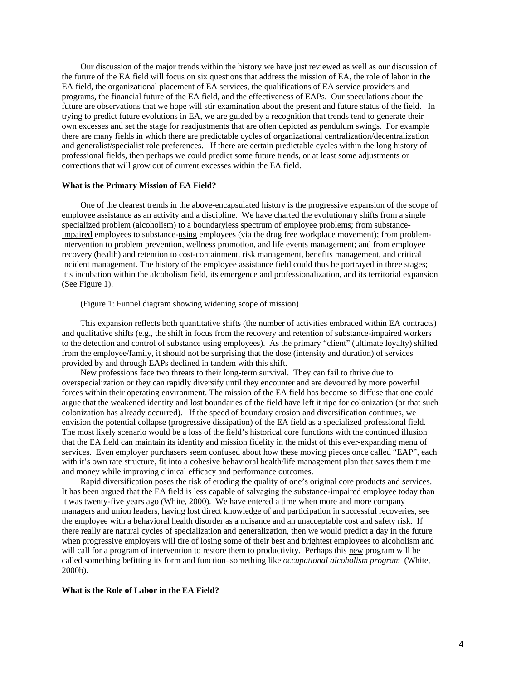Our discussion of the major trends within the history we have just reviewed as well as our discussion of the future of the EA field will focus on six questions that address the mission of EA, the role of labor in the EA field, the organizational placement of EA services, the qualifications of EA service providers and programs, the financial future of the EA field, and the effectiveness of EAPs. Our speculations about the future are observations that we hope will stir examination about the present and future status of the field. In trying to predict future evolutions in EA, we are guided by a recognition that trends tend to generate their own excesses and set the stage for readjustments that are often depicted as pendulum swings. For example there are many fields in which there are predictable cycles of organizational centralization/decentralization and generalist/specialist role preferences. If there are certain predictable cycles within the long history of professional fields, then perhaps we could predict some future trends, or at least some adjustments or corrections that will grow out of current excesses within the EA field.

## **What is the Primary Mission of EA Field?**

 One of the clearest trends in the above-encapsulated history is the progressive expansion of the scope of employee assistance as an activity and a discipline. We have charted the evolutionary shifts from a single specialized problem (alcoholism) to a boundaryless spectrum of employee problems; from substanceimpaired employees to substance-using employees (via the drug free workplace movement); from problemintervention to problem prevention, wellness promotion, and life events management; and from employee recovery (health) and retention to cost-containment, risk management, benefits management, and critical incident management. The history of the employee assistance field could thus be portrayed in three stages; it's incubation within the alcoholism field, its emergence and professionalization, and its territorial expansion (See Figure 1).

(Figure 1: Funnel diagram showing widening scope of mission)

 This expansion reflects both quantitative shifts (the number of activities embraced within EA contracts) and qualitative shifts (e.g., the shift in focus from the recovery and retention of substance-impaired workers to the detection and control of substance using employees). As the primary "client" (ultimate loyalty) shifted from the employee/family, it should not be surprising that the dose (intensity and duration) of services provided by and through EAPs declined in tandem with this shift.

 New professions face two threats to their long-term survival. They can fail to thrive due to overspecialization or they can rapidly diversify until they encounter and are devoured by more powerful forces within their operating environment. The mission of the EA field has become so diffuse that one could argue that the weakened identity and lost boundaries of the field have left it ripe for colonization (or that such colonization has already occurred). If the speed of boundary erosion and diversification continues, we envision the potential collapse (progressive dissipation) of the EA field as a specialized professional field. The most likely scenario would be a loss of the field's historical core functions with the continued illusion that the EA field can maintain its identity and mission fidelity in the midst of this ever-expanding menu of services. Even employer purchasers seem confused about how these moving pieces once called "EAP", each with it's own rate structure, fit into a cohesive behavioral health/life management plan that saves them time and money while improving clinical efficacy and performance outcomes.

 Rapid diversification poses the risk of eroding the quality of one's original core products and services. It has been argued that the EA field is less capable of salvaging the substance-impaired employee today than it was twenty-five years ago (White, 2000). We have entered a time when more and more company managers and union leaders, having lost direct knowledge of and participation in successful recoveries, see the employee with a behavioral health disorder as a nuisance and an unacceptable cost and safety risk. If there really are natural cycles of specialization and generalization, then we would predict a day in the future when progressive employers will tire of losing some of their best and brightest employees to alcoholism and will call for a program of intervention to restore them to productivity. Perhaps this new program will be called something befitting its form and function–something like *occupational alcoholism program* (White, 2000b).

## **What is the Role of Labor in the EA Field?**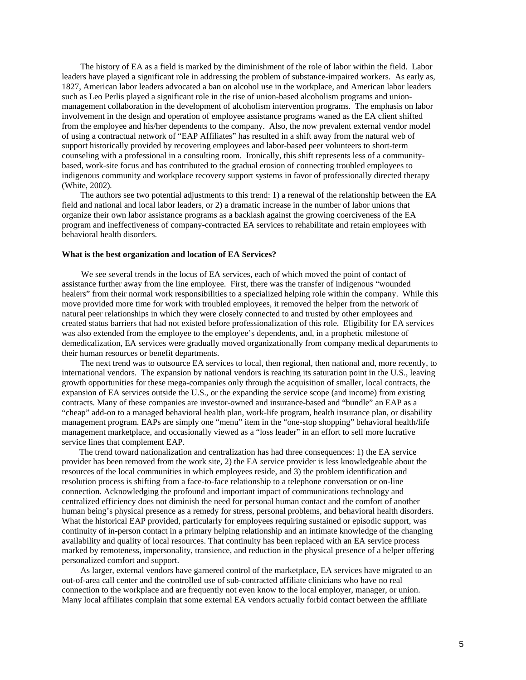The history of EA as a field is marked by the diminishment of the role of labor within the field. Labor leaders have played a significant role in addressing the problem of substance-impaired workers. As early as, 1827, American labor leaders advocated a ban on alcohol use in the workplace, and American labor leaders such as Leo Perlis played a significant role in the rise of union-based alcoholism programs and unionmanagement collaboration in the development of alcoholism intervention programs. The emphasis on labor involvement in the design and operation of employee assistance programs waned as the EA client shifted from the employee and his/her dependents to the company. Also, the now prevalent external vendor model of using a contractual network of "EAP Affiliates" has resulted in a shift away from the natural web of support historically provided by recovering employees and labor-based peer volunteers to short-term counseling with a professional in a consulting room. Ironically, this shift represents less of a communitybased, work-site focus and has contributed to the gradual erosion of connecting troubled employees to indigenous community and workplace recovery support systems in favor of professionally directed therapy (White, 2002)*.*

 The authors see two potential adjustments to this trend: 1) a renewal of the relationship between the EA field and national and local labor leaders, or 2) a dramatic increase in the number of labor unions that organize their own labor assistance programs as a backlash against the growing coerciveness of the EA program and ineffectiveness of company-contracted EA services to rehabilitate and retain employees with behavioral health disorders.

### **What is the best organization and location of EA Services?**

 We see several trends in the locus of EA services, each of which moved the point of contact of assistance further away from the line employee. First, there was the transfer of indigenous "wounded healers" from their normal work responsibilities to a specialized helping role within the company. While this move provided more time for work with troubled employees, it removed the helper from the network of natural peer relationships in which they were closely connected to and trusted by other employees and created status barriers that had not existed before professionalization of this role. Eligibility for EA services was also extended from the employee to the employee's dependents, and, in a prophetic milestone of demedicalization, EA services were gradually moved organizationally from company medical departments to their human resources or benefit departments.

 The next trend was to outsource EA services to local, then regional, then national and, more recently, to international vendors. The expansion by national vendors is reaching its saturation point in the U.S., leaving growth opportunities for these mega-companies only through the acquisition of smaller, local contracts, the expansion of EA services outside the U.S., or the expanding the service scope (and income) from existing contracts. Many of these companies are investor-owned and insurance-based and "bundle" an EAP as a "cheap" add-on to a managed behavioral health plan, work-life program, health insurance plan, or disability management program. EAPs are simply one "menu" item in the "one-stop shopping" behavioral health/life management marketplace, and occasionally viewed as a "loss leader" in an effort to sell more lucrative service lines that complement EAP.

 The trend toward nationalization and centralization has had three consequences: 1) the EA service provider has been removed from the work site, 2) the EA service provider is less knowledgeable about the resources of the local communities in which employees reside, and 3) the problem identification and resolution process is shifting from a face-to-face relationship to a telephone conversation or on-line connection. Acknowledging the profound and important impact of communications technology and centralized efficiency does not diminish the need for personal human contact and the comfort of another human being's physical presence as a remedy for stress, personal problems, and behavioral health disorders. What the historical EAP provided, particularly for employees requiring sustained or episodic support, was continuity of in-person contact in a primary helping relationship and an intimate knowledge of the changing availability and quality of local resources. That continuity has been replaced with an EA service process marked by remoteness, impersonality, transience, and reduction in the physical presence of a helper offering personalized comfort and support.

 As larger, external vendors have garnered control of the marketplace, EA services have migrated to an out-of-area call center and the controlled use of sub-contracted affiliate clinicians who have no real connection to the workplace and are frequently not even know to the local employer, manager, or union. Many local affiliates complain that some external EA vendors actually forbid contact between the affiliate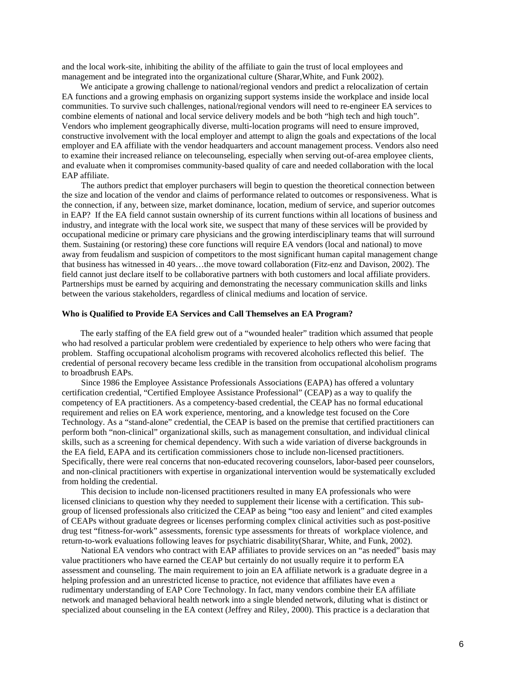and the local work-site, inhibiting the ability of the affiliate to gain the trust of local employees and management and be integrated into the organizational culture (Sharar,White, and Funk 2002).

 We anticipate a growing challenge to national/regional vendors and predict a relocalization of certain EA functions and a growing emphasis on organizing support systems inside the workplace and inside local communities. To survive such challenges, national/regional vendors will need to re-engineer EA services to combine elements of national and local service delivery models and be both "high tech and high touch". Vendors who implement geographically diverse, multi-location programs will need to ensure improved, constructive involvement with the local employer and attempt to align the goals and expectations of the local employer and EA affiliate with the vendor headquarters and account management process. Vendors also need to examine their increased reliance on telecounseling, especially when serving out-of-area employee clients, and evaluate when it compromises community-based quality of care and needed collaboration with the local EAP affiliate.

The authors predict that employer purchasers will begin to question the theoretical connection between the size and location of the vendor and claims of performance related to outcomes or responsiveness. What is the connection, if any, between size, market dominance, location, medium of service, and superior outcomes in EAP? If the EA field cannot sustain ownership of its current functions within all locations of business and industry, and integrate with the local work site, we suspect that many of these services will be provided by occupational medicine or primary care physicians and the growing interdisciplinary teams that will surround them. Sustaining (or restoring) these core functions will require EA vendors (local and national) to move away from feudalism and suspicion of competitors to the most significant human capital management change that business has witnessed in 40 years…the move toward collaboration (Fitz-enz and Davison, 2002). The field cannot just declare itself to be collaborative partners with both customers and local affiliate providers. Partnerships must be earned by acquiring and demonstrating the necessary communication skills and links between the various stakeholders, regardless of clinical mediums and location of service.

### **Who is Qualified to Provide EA Services and Call Themselves an EA Program?**

 The early staffing of the EA field grew out of a "wounded healer" tradition which assumed that people who had resolved a particular problem were credentialed by experience to help others who were facing that problem. Staffing occupational alcoholism programs with recovered alcoholics reflected this belief. The credential of personal recovery became less credible in the transition from occupational alcoholism programs to broadbrush EAPs.

 Since 1986 the Employee Assistance Professionals Associations (EAPA) has offered a voluntary certification credential, "Certified Employee Assistance Professional" (CEAP) as a way to qualify the competency of EA practitioners. As a competency-based credential, the CEAP has no formal educational requirement and relies on EA work experience, mentoring, and a knowledge test focused on the Core Technology. As a "stand-alone" credential, the CEAP is based on the premise that certified practitioners can perform both "non-clinical" organizational skills, such as management consultation, and individual clinical skills, such as a screening for chemical dependency. With such a wide variation of diverse backgrounds in the EA field, EAPA and its certification commissioners chose to include non-licensed practitioners. Specifically, there were real concerns that non-educated recovering counselors, labor-based peer counselors, and non-clinical practitioners with expertise in organizational intervention would be systematically excluded from holding the credential.

 This decision to include non-licensed practitioners resulted in many EA professionals who were licensed clinicians to question why they needed to supplement their license with a certification. This subgroup of licensed professionals also criticized the CEAP as being "too easy and lenient" and cited examples of CEAPs without graduate degrees or licenses performing complex clinical activities such as post-positive drug test "fitness-for-work" assessments, forensic type assessments for threats of workplace violence, and return-to-work evaluations following leaves for psychiatric disability(Sharar, White, and Funk, 2002).

 National EA vendors who contract with EAP affiliates to provide services on an "as needed" basis may value practitioners who have earned the CEAP but certainly do not usually require it to perform EA assessment and counseling. The main requirement to join an EA affiliate network is a graduate degree in a helping profession and an unrestricted license to practice, not evidence that affiliates have even a rudimentary understanding of EAP Core Technology. In fact, many vendors combine their EA affiliate network and managed behavioral health network into a single blended network, diluting what is distinct or specialized about counseling in the EA context (Jeffrey and Riley, 2000). This practice is a declaration that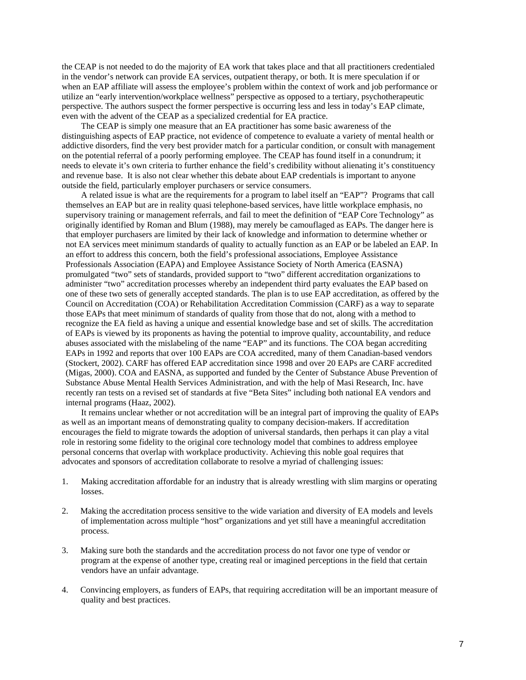the CEAP is not needed to do the majority of EA work that takes place and that all practitioners credentialed in the vendor's network can provide EA services, outpatient therapy, or both. It is mere speculation if or when an EAP affiliate will assess the employee's problem within the context of work and job performance or utilize an "early intervention/workplace wellness" perspective as opposed to a tertiary, psychotherapeutic perspective. The authors suspect the former perspective is occurring less and less in today's EAP climate, even with the advent of the CEAP as a specialized credential for EA practice.

 The CEAP is simply one measure that an EA practitioner has some basic awareness of the distinguishing aspects of EAP practice, not evidence of competence to evaluate a variety of mental health or addictive disorders, find the very best provider match for a particular condition, or consult with management on the potential referral of a poorly performing employee. The CEAP has found itself in a conundrum; it needs to elevate it's own criteria to further enhance the field's credibility without alienating it's constituency and revenue base. It is also not clear whether this debate about EAP credentials is important to anyone outside the field, particularly employer purchasers or service consumers.

 A related issue is what are the requirements for a program to label itself an "EAP"? Programs that call themselves an EAP but are in reality quasi telephone-based services, have little workplace emphasis, no supervisory training or management referrals, and fail to meet the definition of "EAP Core Technology" as originally identified by Roman and Blum (1988), may merely be camouflaged as EAPs. The danger here is that employer purchasers are limited by their lack of knowledge and information to determine whether or not EA services meet minimum standards of quality to actually function as an EAP or be labeled an EAP. In an effort to address this concern, both the field's professional associations, Employee Assistance Professionals Association (EAPA) and Employee Assistance Society of North America (EASNA) promulgated "two" sets of standards, provided support to "two" different accreditation organizations to administer "two" accreditation processes whereby an independent third party evaluates the EAP based on one of these two sets of generally accepted standards. The plan is to use EAP accreditation, as offered by the Council on Accreditation (COA) or Rehabilitation Accreditation Commission (CARF) as a way to separate those EAPs that meet minimum of standards of quality from those that do not, along with a method to recognize the EA field as having a unique and essential knowledge base and set of skills. The accreditation of EAPs is viewed by its proponents as having the potential to improve quality, accountability, and reduce abuses associated with the mislabeling of the name "EAP" and its functions. The COA began accrediting EAPs in 1992 and reports that over 100 EAPs are COA accredited, many of them Canadian-based vendors (Stockert, 2002). CARF has offered EAP accreditation since 1998 and over 20 EAPs are CARF accredited (Migas, 2000). COA and EASNA, as supported and funded by the Center of Substance Abuse Prevention of Substance Abuse Mental Health Services Administration, and with the help of Masi Research, Inc. have recently ran tests on a revised set of standards at five "Beta Sites" including both national EA vendors and internal programs (Haaz, 2002).

 It remains unclear whether or not accreditation will be an integral part of improving the quality of EAPs as well as an important means of demonstrating quality to company decision-makers. If accreditation encourages the field to migrate towards the adoption of universal standards, then perhaps it can play a vital role in restoring some fidelity to the original core technology model that combines to address employee personal concerns that overlap with workplace productivity. Achieving this noble goal requires that advocates and sponsors of accreditation collaborate to resolve a myriad of challenging issues:

- 1. Making accreditation affordable for an industry that is already wrestling with slim margins or operating losses.
- 2. Making the accreditation process sensitive to the wide variation and diversity of EA models and levels of implementation across multiple "host" organizations and yet still have a meaningful accreditation process.
- 3. Making sure both the standards and the accreditation process do not favor one type of vendor or program at the expense of another type, creating real or imagined perceptions in the field that certain vendors have an unfair advantage.
- 4. Convincing employers, as funders of EAPs, that requiring accreditation will be an important measure of quality and best practices.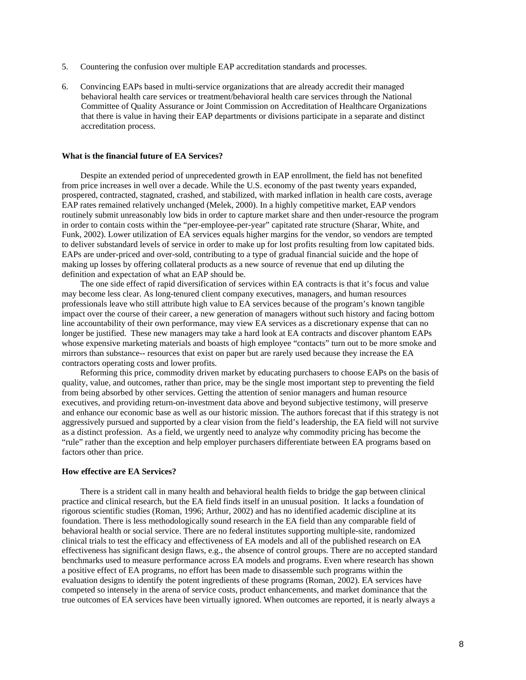- 5. Countering the confusion over multiple EAP accreditation standards and processes.
- 6. Convincing EAPs based in multi-service organizations that are already accredit their managed behavioral health care services or treatment/behavioral health care services through the National Committee of Quality Assurance or Joint Commission on Accreditation of Healthcare Organizations that there is value in having their EAP departments or divisions participate in a separate and distinct accreditation process.

## **What is the financial future of EA Services?**

Despite an extended period of unprecedented growth in EAP enrollment, the field has not benefited from price increases in well over a decade. While the U.S. economy of the past twenty years expanded, prospered, contracted, stagnated, crashed, and stabilized, with marked inflation in health care costs, average EAP rates remained relatively unchanged (Melek, 2000). In a highly competitive market, EAP vendors routinely submit unreasonably low bids in order to capture market share and then under-resource the program in order to contain costs within the "per-employee-per-year" capitated rate structure (Sharar, White, and Funk, 2002). Lower utilization of EA services equals higher margins for the vendor, so vendors are tempted to deliver substandard levels of service in order to make up for lost profits resulting from low capitated bids. EAPs are under-priced and over-sold, contributing to a type of gradual financial suicide and the hope of making up losses by offering collateral products as a new source of revenue that end up diluting the definition and expectation of what an EAP should be.

The one side effect of rapid diversification of services within EA contracts is that it's focus and value may become less clear. As long-tenured client company executives, managers, and human resources professionals leave who still attribute high value to EA services because of the program's known tangible impact over the course of their career, a new generation of managers without such history and facing bottom line accountability of their own performance, may view EA services as a discretionary expense that can no longer be justified. These new managers may take a hard look at EA contracts and discover phantom EAPs whose expensive marketing materials and boasts of high employee "contacts" turn out to be more smoke and mirrors than substance-- resources that exist on paper but are rarely used because they increase the EA contractors operating costs and lower profits.

Reforming this price, commodity driven market by educating purchasers to choose EAPs on the basis of quality, value, and outcomes, rather than price, may be the single most important step to preventing the field from being absorbed by other services. Getting the attention of senior managers and human resource executives, and providing return-on-investment data above and beyond subjective testimony, will preserve and enhance our economic base as well as our historic mission. The authors forecast that if this strategy is not aggressively pursued and supported by a clear vision from the field's leadership, the EA field will not survive as a distinct profession. As a field, we urgently need to analyze why commodity pricing has become the "rule" rather than the exception and help employer purchasers differentiate between EA programs based on factors other than price.

## **How effective are EA Services?**

There is a strident call in many health and behavioral health fields to bridge the gap between clinical practice and clinical research, but the EA field finds itself in an unusual position. It lacks a foundation of rigorous scientific studies (Roman, 1996; Arthur, 2002) and has no identified academic discipline at its foundation. There is less methodologically sound research in the EA field than any comparable field of behavioral health or social service. There are no federal institutes supporting multiple-site, randomized clinical trials to test the efficacy and effectiveness of EA models and all of the published research on EA effectiveness has significant design flaws, e.g., the absence of control groups. There are no accepted standard benchmarks used to measure performance across EA models and programs. Even where research has shown a positive effect of EA programs, no effort has been made to disassemble such programs within the evaluation designs to identify the potent ingredients of these programs (Roman, 2002). EA services have competed so intensely in the arena of service costs, product enhancements, and market dominance that the true outcomes of EA services have been virtually ignored. When outcomes are reported, it is nearly always a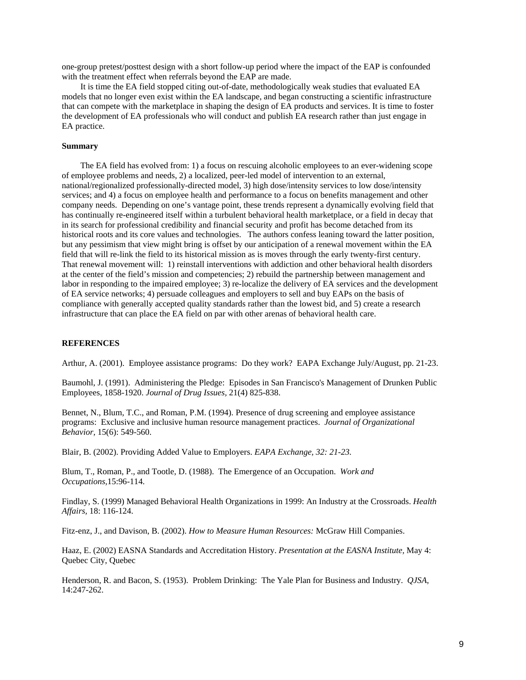one-group pretest/posttest design with a short follow-up period where the impact of the EAP is confounded with the treatment effect when referrals beyond the EAP are made.

It is time the EA field stopped citing out-of-date, methodologically weak studies that evaluated EA models that no longer even exist within the EA landscape, and began constructing a scientific infrastructure that can compete with the marketplace in shaping the design of EA products and services. It is time to foster the development of EA professionals who will conduct and publish EA research rather than just engage in EA practice.

## **Summary**

The EA field has evolved from: 1) a focus on rescuing alcoholic employees to an ever-widening scope of employee problems and needs, 2) a localized, peer-led model of intervention to an external, national/regionalized professionally-directed model, 3) high dose/intensity services to low dose/intensity services; and 4) a focus on employee health and performance to a focus on benefits management and other company needs. Depending on one's vantage point, these trends represent a dynamically evolving field that has continually re-engineered itself within a turbulent behavioral health marketplace, or a field in decay that in its search for professional credibility and financial security and profit has become detached from its historical roots and its core values and technologies. The authors confess leaning toward the latter position, but any pessimism that view might bring is offset by our anticipation of a renewal movement within the EA field that will re-link the field to its historical mission as is moves through the early twenty-first century. That renewal movement will: 1) reinstall interventions with addiction and other behavioral health disorders at the center of the field's mission and competencies; 2) rebuild the partnership between management and labor in responding to the impaired employee; 3) re-localize the delivery of EA services and the development of EA service networks; 4) persuade colleagues and employers to sell and buy EAPs on the basis of compliance with generally accepted quality standards rather than the lowest bid, and 5) create a research infrastructure that can place the EA field on par with other arenas of behavioral health care.

## **REFERENCES**

Arthur, A. (2001). Employee assistance programs: Do they work? EAPA Exchange July/August, pp. 21-23.

Baumohl, J. (1991). Administering the Pledge: Episodes in San Francisco's Management of Drunken Public Employees, 1858-1920. *Journal of Drug Issues,* 21(4) 825-838.

Bennet, N., Blum, T.C., and Roman, P.M. (1994). Presence of drug screening and employee assistance programs: Exclusive and inclusive human resource management practices. *Journal of Organizational Behavior,* 15(6): 549-560.

Blair, B. (2002). Providing Added Value to Employers. *EAPA Exchange, 32: 21-23.* 

Blum, T., Roman, P., and Tootle, D. (1988). The Emergence of an Occupation. *Work and Occupations,*15:96-114.

Findlay, S. (1999) Managed Behavioral Health Organizations in 1999: An Industry at the Crossroads. *Health Affairs,* 18: 116-124.

Fitz-enz, J., and Davison, B. (2002). *How to Measure Human Resources:* McGraw Hill Companies.

Haaz, E. (2002) EASNA Standards and Accreditation History. *Presentation at the EASNA Institute,* May 4: Quebec City, Quebec

Henderson, R. and Bacon, S. (1953). Problem Drinking: The Yale Plan for Business and Industry. *QJSA*, 14:247-262.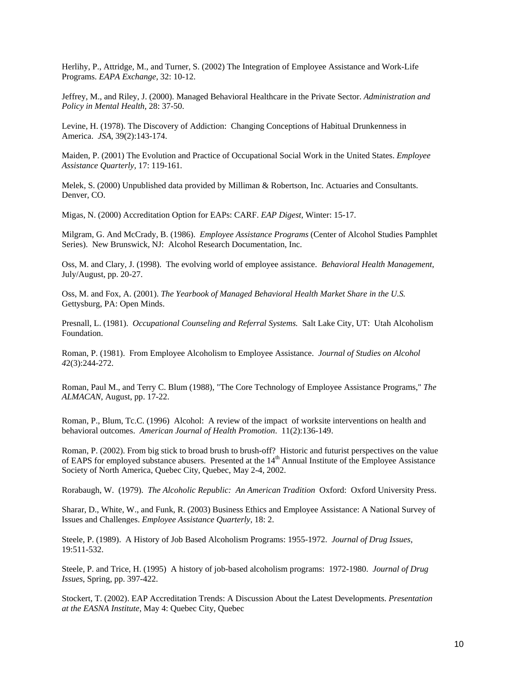Herlihy, P., Attridge, M., and Turner, S. (2002) The Integration of Employee Assistance and Work-Life Programs. *EAPA Exchange,* 32: 10-12.

Jeffrey, M., and Riley, J. (2000). Managed Behavioral Healthcare in the Private Sector. *Administration and Policy in Mental Health,* 28: 37-50.

Levine, H. (1978). The Discovery of Addiction: Changing Conceptions of Habitual Drunkenness in America. *JSA*, 39(2):143-174.

Maiden, P. (2001) The Evolution and Practice of Occupational Social Work in the United States. *Employee Assistance Quarterly,* 17: 119-161.

Melek, S. (2000) Unpublished data provided by Milliman & Robertson, Inc. Actuaries and Consultants. Denver, CO.

Migas, N. (2000) Accreditation Option for EAPs: CARF. *EAP Digest,* Winter: 15-17.

Milgram, G. And McCrady, B. (1986). *Employee Assistance Programs* (Center of Alcohol Studies Pamphlet Series). New Brunswick, NJ: Alcohol Research Documentation, Inc.

Oss, M. and Clary, J. (1998). The evolving world of employee assistance. *Behavioral Health Management*, July/August, pp. 20-27.

Oss, M. and Fox, A. (2001). *The Yearbook of Managed Behavioral Health Market Share in the U.S.*  Gettysburg, PA: Open Minds.

Presnall, L. (1981). *Occupational Counseling and Referral Systems.* Salt Lake City, UT: Utah Alcoholism Foundation.

Roman, P. (1981). From Employee Alcoholism to Employee Assistance. *Journal of Studies on Alcohol 4*2(3):244-272.

Roman, Paul M., and Terry C. Blum (1988), "The Core Technology of Employee Assistance Programs," *The ALMACAN*, August, pp. 17-22.

Roman, P., Blum, Tc.C. (1996) Alcohol: A review of the impact of worksite interventions on health and behavioral outcomes. *American Journal of Health Promotion*. 11(2):136-149.

Roman, P. (2002). From big stick to broad brush to brush-off? Historic and futurist perspectives on the value of EAPS for employed substance abusers. Presented at the 14<sup>th</sup> Annual Institute of the Employee Assistance Society of North America, Quebec City, Quebec, May 2-4, 2002.

Rorabaugh, W. (1979). *The Alcoholic Republic: An American Tradition* Oxford: Oxford University Press.

Sharar, D., White, W., and Funk, R. (2003) Business Ethics and Employee Assistance: A National Survey of Issues and Challenges. *Employee Assistance Quarterly,* 18: 2.

Steele, P. (1989). A History of Job Based Alcoholism Programs: 1955-1972. *Journal of Drug Issues,* 19:511-532.

Steele, P. and Trice, H. (1995) A history of job-based alcoholism programs: 1972-1980. *Journal of Drug Issues*, Spring, pp. 397-422.

Stockert, T. (2002). EAP Accreditation Trends: A Discussion About the Latest Developments. *Presentation at the EASNA Institute,* May 4: Quebec City, Quebec